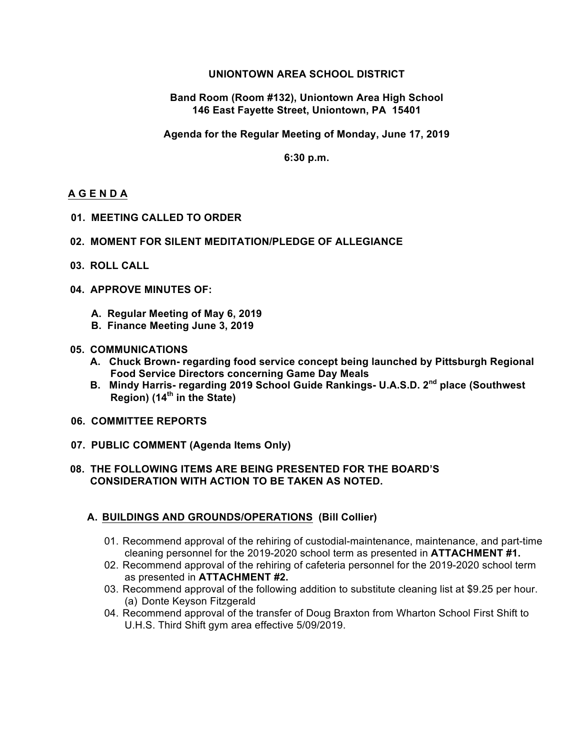### **UNIONTOWN AREA SCHOOL DISTRICT**

#### **Band Room (Room #132), Uniontown Area High School 146 East Fayette Street, Uniontown, PA 15401**

**Agenda for the Regular Meeting of Monday, June 17, 2019**

**6:30 p.m.**

### **A G E N D A**

**01. MEETING CALLED TO ORDER**

#### **02. MOMENT FOR SILENT MEDITATION/PLEDGE OF ALLEGIANCE**

- **03. ROLL CALL**
- **04. APPROVE MINUTES OF:**
	- **A. Regular Meeting of May 6, 2019**
	- **B. Finance Meeting June 3, 2019**

#### **05. COMMUNICATIONS**

- **A. Chuck Brown- regarding food service concept being launched by Pittsburgh Regional Food Service Directors concerning Game Day Meals**
- **B. Mindy Harris- regarding 2019 School Guide Rankings- U.A.S.D. 2nd place (Southwest Region) (14th in the State)**
- **06. COMMITTEE REPORTS**
- **07. PUBLIC COMMENT (Agenda Items Only)**

#### **08. THE FOLLOWING ITEMS ARE BEING PRESENTED FOR THE BOARD'S CONSIDERATION WITH ACTION TO BE TAKEN AS NOTED.**

#### **A. BUILDINGS AND GROUNDS/OPERATIONS (Bill Collier)**

- 01. Recommend approval of the rehiring of custodial-maintenance, maintenance, and part-time cleaning personnel for the 2019-2020 school term as presented in **ATTACHMENT #1.**
- 02. Recommend approval of the rehiring of cafeteria personnel for the 2019-2020 school term as presented in **ATTACHMENT #2.**
- 03. Recommend approval of the following addition to substitute cleaning list at \$9.25 per hour. (a) Donte Keyson Fitzgerald
- 04. Recommend approval of the transfer of Doug Braxton from Wharton School First Shift to U.H.S. Third Shift gym area effective 5/09/2019.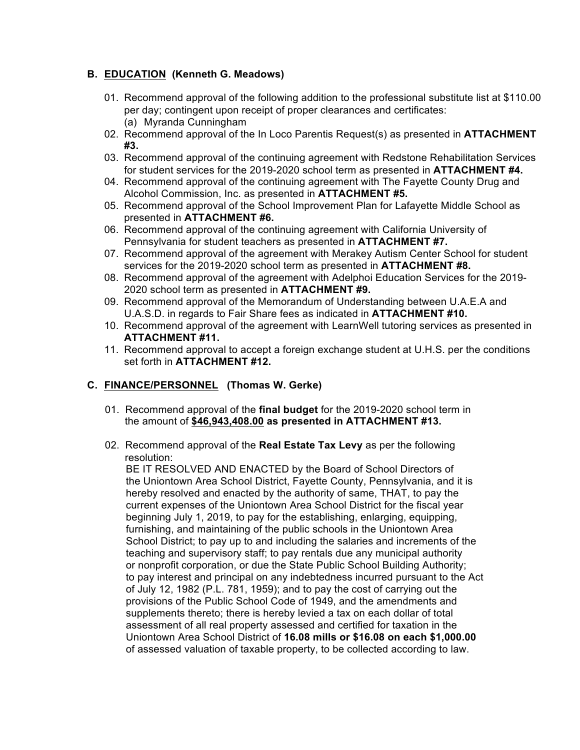# **B. EDUCATION (Kenneth G. Meadows)**

- 01. Recommend approval of the following addition to the professional substitute list at \$110.00 per day; contingent upon receipt of proper clearances and certificates: (a) Myranda Cunningham
- 02. Recommend approval of the In Loco Parentis Request(s) as presented in **ATTACHMENT #3.**
- 03. Recommend approval of the continuing agreement with Redstone Rehabilitation Services for student services for the 2019-2020 school term as presented in **ATTACHMENT #4.**
- 04. Recommend approval of the continuing agreement with The Fayette County Drug and Alcohol Commission, Inc. as presented in **ATTACHMENT #5.**
- 05. Recommend approval of the School Improvement Plan for Lafayette Middle School as presented in **ATTACHMENT #6.**
- 06. Recommend approval of the continuing agreement with California University of Pennsylvania for student teachers as presented in **ATTACHMENT #7.**
- 07. Recommend approval of the agreement with Merakey Autism Center School for student services for the 2019-2020 school term as presented in **ATTACHMENT #8.**
- 08. Recommend approval of the agreement with Adelphoi Education Services for the 2019- 2020 school term as presented in **ATTACHMENT #9.**
- 09. Recommend approval of the Memorandum of Understanding between U.A.E.A and U.A.S.D. in regards to Fair Share fees as indicated in **ATTACHMENT #10.**
- 10. Recommend approval of the agreement with LearnWell tutoring services as presented in **ATTACHMENT #11.**
- 11. Recommend approval to accept a foreign exchange student at U.H.S. per the conditions set forth in **ATTACHMENT #12.**

# **C. FINANCE/PERSONNEL (Thomas W. Gerke)**

- 01. Recommend approval of the **final budget** for the 2019-2020 school term in the amount of **\$46,943,408.00 as presented in ATTACHMENT #13.**
- 02. Recommend approval of the **Real Estate Tax Levy** as per the following resolution:

 BE IT RESOLVED AND ENACTED by the Board of School Directors of the Uniontown Area School District, Fayette County, Pennsylvania, and it is hereby resolved and enacted by the authority of same, THAT, to pay the current expenses of the Uniontown Area School District for the fiscal year beginning July 1, 2019, to pay for the establishing, enlarging, equipping, furnishing, and maintaining of the public schools in the Uniontown Area School District; to pay up to and including the salaries and increments of the teaching and supervisory staff; to pay rentals due any municipal authority or nonprofit corporation, or due the State Public School Building Authority; to pay interest and principal on any indebtedness incurred pursuant to the Act of July 12, 1982 (P.L. 781, 1959); and to pay the cost of carrying out the provisions of the Public School Code of 1949, and the amendments and supplements thereto; there is hereby levied a tax on each dollar of total assessment of all real property assessed and certified for taxation in the Uniontown Area School District of **16.08 mills or \$16.08 on each \$1,000.00** of assessed valuation of taxable property, to be collected according to law.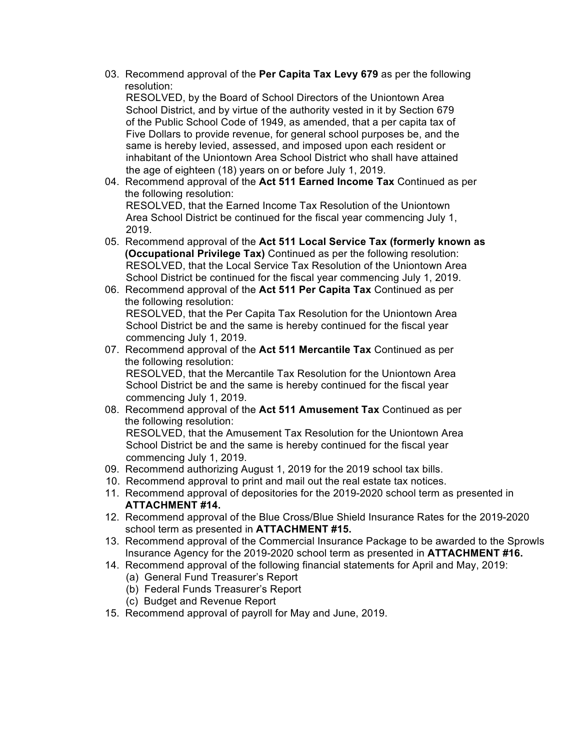03. Recommend approval of the **Per Capita Tax Levy 679** as per the following resolution:

 RESOLVED, by the Board of School Directors of the Uniontown Area School District, and by virtue of the authority vested in it by Section 679 of the Public School Code of 1949, as amended, that a per capita tax of Five Dollars to provide revenue, for general school purposes be, and the same is hereby levied, assessed, and imposed upon each resident or inhabitant of the Uniontown Area School District who shall have attained the age of eighteen (18) years on or before July 1, 2019.

- 04. Recommend approval of the **Act 511 Earned Income Tax** Continued as per the following resolution: RESOLVED, that the Earned Income Tax Resolution of the Uniontown Area School District be continued for the fiscal year commencing July 1, 2019.
- 05. Recommend approval of the **Act 511 Local Service Tax (formerly known as (Occupational Privilege Tax)** Continued as per the following resolution: RESOLVED, that the Local Service Tax Resolution of the Uniontown Area School District be continued for the fiscal year commencing July 1, 2019.
- 06. Recommend approval of the **Act 511 Per Capita Tax** Continued as per the following resolution: RESOLVED, that the Per Capita Tax Resolution for the Uniontown Area School District be and the same is hereby continued for the fiscal year commencing July 1, 2019.
- 07. Recommend approval of the **Act 511 Mercantile Tax** Continued as per the following resolution: RESOLVED, that the Mercantile Tax Resolution for the Uniontown Area School District be and the same is hereby continued for the fiscal year commencing July 1, 2019.
- 08. Recommend approval of the **Act 511 Amusement Tax** Continued as per the following resolution: RESOLVED, that the Amusement Tax Resolution for the Uniontown Area School District be and the same is hereby continued for the fiscal year commencing July 1, 2019.
- 09. Recommend authorizing August 1, 2019 for the 2019 school tax bills.
- 10. Recommend approval to print and mail out the real estate tax notices.
- 11. Recommend approval of depositories for the 2019-2020 school term as presented in **ATTACHMENT #14.**
- 12. Recommend approval of the Blue Cross/Blue Shield Insurance Rates for the 2019-2020 school term as presented in **ATTACHMENT #15.**
- 13. Recommend approval of the Commercial Insurance Package to be awarded to the Sprowls Insurance Agency for the 2019-2020 school term as presented in **ATTACHMENT #16.**
- 14. Recommend approval of the following financial statements for April and May, 2019:
	- (a) General Fund Treasurer's Report
	- (b) Federal Funds Treasurer's Report
	- (c) Budget and Revenue Report
- 15. Recommend approval of payroll for May and June, 2019.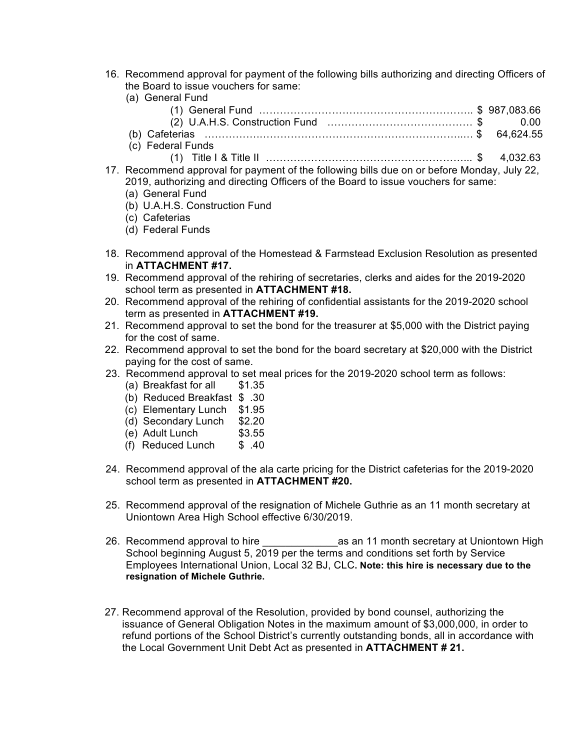16. Recommend approval for payment of the following bills authorizing and directing Officers of the Board to issue vouchers for same:

| (a) General Fund  |  |
|-------------------|--|
|                   |  |
|                   |  |
|                   |  |
| (c) Federal Funds |  |

- (1) Title I & Title II …………………………………………………... \$ 4,032.63
- 17. Recommend approval for payment of the following bills due on or before Monday, July 22, 2019, authorizing and directing Officers of the Board to issue vouchers for same:
	- (a) General Fund
	- (b) U.A.H.S. Construction Fund
	- (c) Cafeterias
	- (d) Federal Funds
- 18. Recommend approval of the Homestead & Farmstead Exclusion Resolution as presented in **ATTACHMENT #17.**
- 19. Recommend approval of the rehiring of secretaries, clerks and aides for the 2019-2020 school term as presented in **ATTACHMENT #18.**
- 20. Recommend approval of the rehiring of confidential assistants for the 2019-2020 school term as presented in **ATTACHMENT #19.**
- 21. Recommend approval to set the bond for the treasurer at \$5,000 with the District paying for the cost of same.
- 22. Recommend approval to set the bond for the board secretary at \$20,000 with the District paying for the cost of same.
- 23. Recommend approval to set meal prices for the 2019-2020 school term as follows:
	- (a) Breakfast for all \$1.35
	- (b) Reduced Breakfast \$ .30
	- (c) Elementary Lunch \$1.95
	- (d) Secondary Lunch \$2.20
	- (e) Adult Lunch \$3.55
	- (f) Reduced Lunch \$ .40
- 24. Recommend approval of the ala carte pricing for the District cafeterias for the 2019-2020 school term as presented in **ATTACHMENT #20.**
- 25. Recommend approval of the resignation of Michele Guthrie as an 11 month secretary at Uniontown Area High School effective 6/30/2019.
- 26. Recommend approval to hire **and a state of the secretary at Uniontown High**  School beginning August 5, 2019 per the terms and conditions set forth by Service Employees International Union, Local 32 BJ, CLC**. Note: this hire is necessary due to the resignation of Michele Guthrie.**
- 27. Recommend approval of the Resolution, provided by bond counsel, authorizing the issuance of General Obligation Notes in the maximum amount of \$3,000,000, in order to refund portions of the School District's currently outstanding bonds, all in accordance with the Local Government Unit Debt Act as presented in **ATTACHMENT # 21.**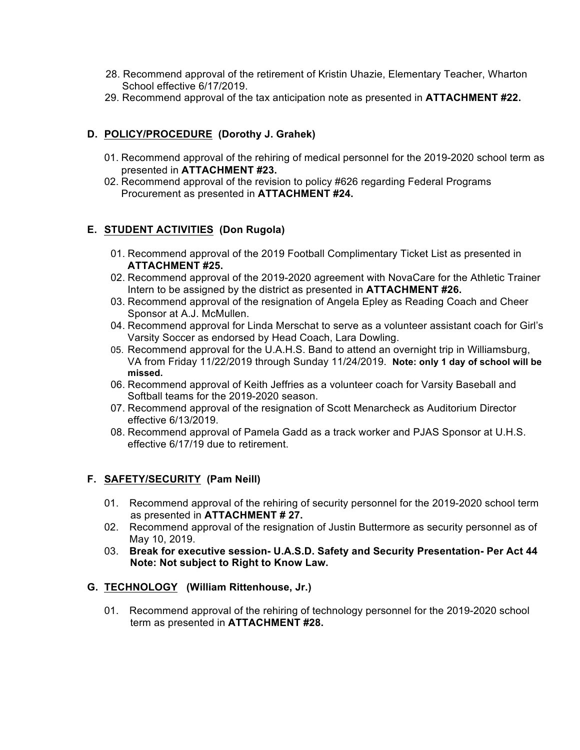- 28. Recommend approval of the retirement of Kristin Uhazie, Elementary Teacher, Wharton School effective 6/17/2019.
- 29. Recommend approval of the tax anticipation note as presented in **ATTACHMENT #22.**

# **D. POLICY/PROCEDURE (Dorothy J. Grahek)**

- 01. Recommend approval of the rehiring of medical personnel for the 2019-2020 school term as presented in **ATTACHMENT #23.**
- 02. Recommend approval of the revision to policy #626 regarding Federal Programs Procurement as presented in **ATTACHMENT #24.**

# **E. STUDENT ACTIVITIES (Don Rugola)**

- 01. Recommend approval of the 2019 Football Complimentary Ticket List as presented in **ATTACHMENT #25.**
- 02. Recommend approval of the 2019-2020 agreement with NovaCare for the Athletic Trainer Intern to be assigned by the district as presented in **ATTACHMENT #26.**
- 03. Recommend approval of the resignation of Angela Epley as Reading Coach and Cheer Sponsor at A.J. McMullen.
- 04. Recommend approval for Linda Merschat to serve as a volunteer assistant coach for Girl's Varsity Soccer as endorsed by Head Coach, Lara Dowling.
- 05. Recommend approval for the U.A.H.S. Band to attend an overnight trip in Williamsburg, VA from Friday 11/22/2019 through Sunday 11/24/2019. **Note: only 1 day of school will be missed.**
- 06. Recommend approval of Keith Jeffries as a volunteer coach for Varsity Baseball and Softball teams for the 2019-2020 season.
- 07. Recommend approval of the resignation of Scott Menarcheck as Auditorium Director effective 6/13/2019.
- 08. Recommend approval of Pamela Gadd as a track worker and PJAS Sponsor at U.H.S. effective 6/17/19 due to retirement.

# **F. SAFETY/SECURITY (Pam Neill)**

- 01. Recommend approval of the rehiring of security personnel for the 2019-2020 school term as presented in **ATTACHMENT # 27.**
- 02. Recommend approval of the resignation of Justin Buttermore as security personnel as of May 10, 2019.
- 03. **Break for executive session- U.A.S.D. Safety and Security Presentation- Per Act 44 Note: Not subject to Right to Know Law.**

#### **G. TECHNOLOGY (William Rittenhouse, Jr.)**

01. Recommend approval of the rehiring of technology personnel for the 2019-2020 school term as presented in **ATTACHMENT #28.**